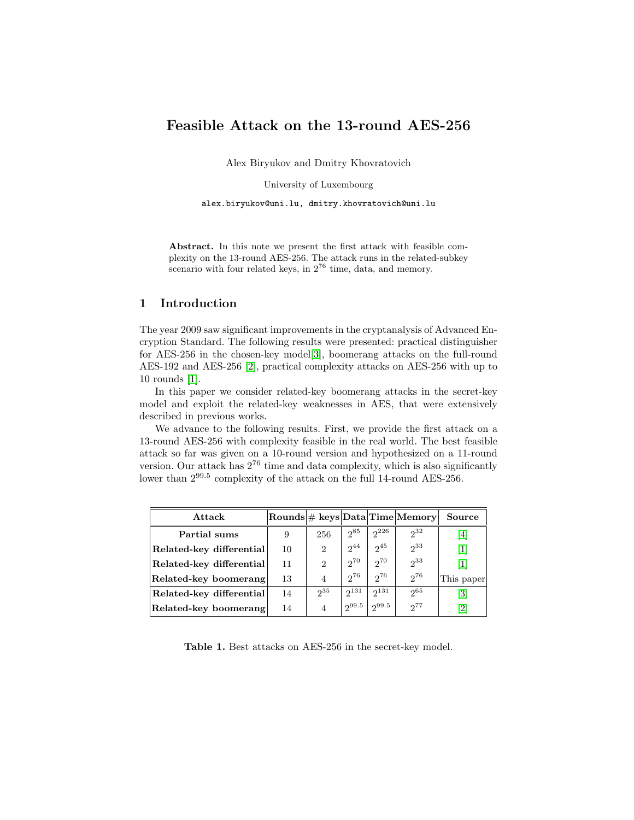# Feasible Attack on the 13-round AES-256

Alex Biryukov and Dmitry Khovratovich

University of Luxembourg

alex.biryukov@uni.lu, dmitry.khovratovich@uni.lu

Abstract. In this note we present the first attack with feasible complexity on the 13-round AES-256. The attack runs in the related-subkey scenario with four related keys, in  $2^{76}$  time, data, and memory.

## 1 Introduction

The year 2009 saw significant improvements in the cryptanalysis of Advanced Encryption Standard. The following results were presented: practical distinguisher for AES-256 in the chosen-key model[\[3\]](#page-3-0), boomerang attacks on the full-round AES-192 and AES-256 [\[2\]](#page-3-1), practical complexity attacks on AES-256 with up to 10 rounds [\[1\]](#page-3-2).

In this paper we consider related-key boomerang attacks in the secret-key model and exploit the related-key weaknesses in AES, that were extensively described in previous works.

We advance to the following results. First, we provide the first attack on a 13-round AES-256 with complexity feasible in the real world. The best feasible attack so far was given on a 10-round version and hypothesized on a 11-round version. Our attack has  $2^{76}$  time and data complexity, which is also significantly lower than  $2^{99.5}$  complexity of the attack on the full 14-round AES-256.

| Attack                   |    |                |            |            | $ \text{Rounds}  \# \text{ keys} \text{Data} \text{Time} \text{Memory} $ | Source                       |
|--------------------------|----|----------------|------------|------------|--------------------------------------------------------------------------|------------------------------|
| Partial sums             | 9  | 256            | $2^{85}$   | $2^{226}$  | $2^{32}$                                                                 | 4                            |
| Related-key differential | 10 | $\overline{2}$ | $2^{44}$   | $2^{45}$   | $2^{33}$                                                                 | $\lceil 1 \rceil$            |
| Related-key differential | 11 | 2              | $2^{70}$   | $2^{70}$   | $2^{33}$                                                                 |                              |
| Related-key boomerang    | 13 | $\overline{A}$ | $2^{76}$   | $2^{76}$   | $2^{76}$                                                                 | This paper                   |
| Related-key differential | 14 | $2^{35}$       | $2^{131}$  | $2^{131}$  | $2^{65}$                                                                 | [3]                          |
| Related-key boomerang    | 14 | 4              | $2^{99.5}$ | $2^{99.5}$ | $2^{77}$                                                                 | $\left\lceil 2 \right\rceil$ |

Table 1. Best attacks on AES-256 in the secret-key model.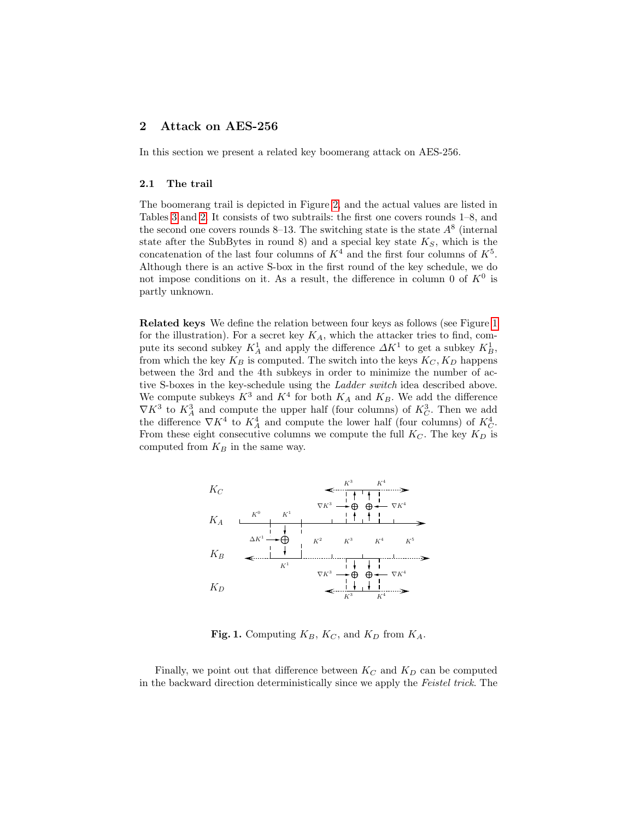# 2 Attack on AES-256

In this section we present a related key boomerang attack on AES-256.

#### 2.1 The trail

The boomerang trail is depicted in Figure [2,](#page-5-0) and the actual values are listed in Tables [3](#page-4-0) and [2.](#page-4-1) It consists of two subtrails: the first one covers rounds 1–8, and the second one covers rounds 8–13. The switching state is the state  $A^8$  (internal state after the SubBytes in round 8) and a special key state  $K_S$ , which is the concatenation of the last four columns of  $K^4$  and the first four columns of  $K^5$ . Although there is an active S-box in the first round of the key schedule, we do not impose conditions on it. As a result, the difference in column 0 of  $K^0$  is partly unknown.

Related keys We define the relation between four keys as follows (see Figure [1](#page-1-0) for the illustration). For a secret key  $K_A$ , which the attacker tries to find, compute its second subkey  $K_A^1$  and apply the difference  $\Delta K^1$  to get a subkey  $K_B^1$ , from which the key  $K_B$  is computed. The switch into the keys  $K_C, K_D$  happens between the 3rd and the 4th subkeys in order to minimize the number of active S-boxes in the key-schedule using the *Ladder switch* idea described above. We compute subkeys  $K^3$  and  $K^4$  for both  $K_A$  and  $K_B$ . We add the difference  $\nabla K^3$  to  $K_A^3$  and compute the upper half (four columns) of  $K_C^3$ . Then we add the difference  $\nabla K^4$  to  $K_A^4$  and compute the lower half (four columns) of  $K_C^4$ . From these eight consecutive columns we compute the full  $K_C$ . The key  $K_D$  is computed from  $K_B$  in the same way.



<span id="page-1-0"></span>Fig. 1. Computing  $K_B$ ,  $K_C$ , and  $K_D$  from  $K_A$ .

Finally, we point out that difference between  $K_C$  and  $K_D$  can be computed in the backward direction deterministically since we apply the Feistel trick. The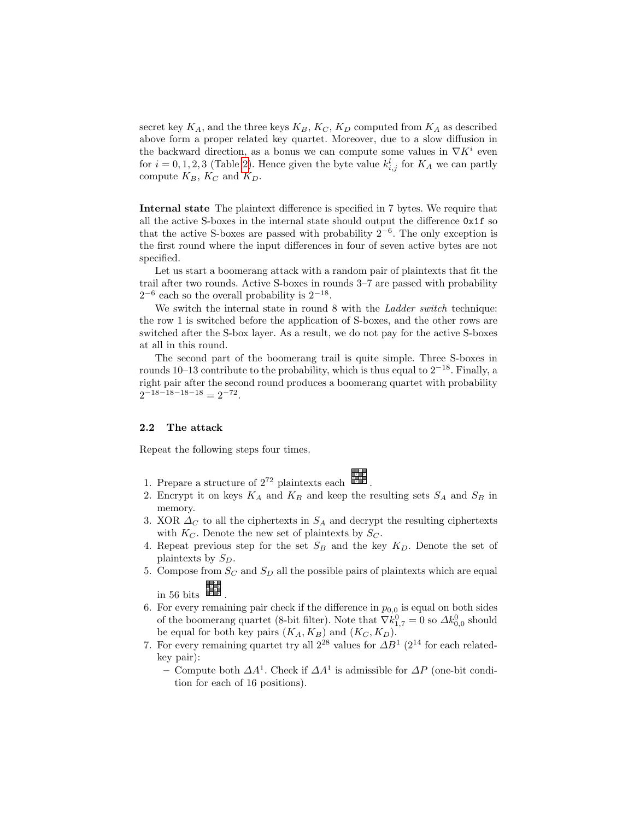secret key  $K_A$ , and the three keys  $K_B$ ,  $K_C$ ,  $K_D$  computed from  $K_A$  as described above form a proper related key quartet. Moreover, due to a slow diffusion in the backward direction, as a bonus we can compute some values in  $\nabla K^i$  even for  $i = 0, 1, 2, 3$  (Table [2\)](#page-4-1). Hence given the byte value  $k_{i,j}^l$  for  $K_A$  we can partly compute  $K_B$ ,  $K_C$  and  $K_D$ .

Internal state The plaintext difference is specified in 7 bytes. We require that all the active S-boxes in the internal state should output the difference 0x1f so that the active S-boxes are passed with probability  $2^{-6}$ . The only exception is the first round where the input differences in four of seven active bytes are not specified.

Let us start a boomerang attack with a random pair of plaintexts that fit the trail after two rounds. Active S-boxes in rounds 3–7 are passed with probability  $2^{-6}$  each so the overall probability is  $2^{-18}$ .

We switch the internal state in round 8 with the *Ladder switch* technique: the row 1 is switched before the application of S-boxes, and the other rows are switched after the S-box layer. As a result, we do not pay for the active S-boxes at all in this round.

The second part of the boomerang trail is quite simple. Three S-boxes in rounds 10–13 contribute to the probability, which is thus equal to  $2^{-18}$ . Finally, a right pair after the second round produces a boomerang quartet with probability  $2^{-18-18-18-18} = 2^{-72}.$ 

### 2.2 The attack

Repeat the following steps four times.

.

- 1. Prepare a structure of  $2^{72}$  plaintexts each  $\frac{c}{c}$   $\frac{c}{c}$  .
- 2. Encrypt it on keys  $K_A$  and  $K_B$  and keep the resulting sets  $S_A$  and  $S_B$  in memory.
- 3. XOR  $\Delta_C$  to all the ciphertexts in  $S_A$  and decrypt the resulting ciphertexts with  $K_C$ . Denote the new set of plaintexts by  $S_C$ .
- 4. Repeat previous step for the set  $S_B$  and the key  $K_D$ . Denote the set of plaintexts by  $S_D$ .
- 5. Compose from  $S_C$  and  $S_D$  all the possible pairs of plaintexts which are equal

in 56 bits  $\frac{1}{2}$ c<br>c<br>c

- <span id="page-2-0"></span>6. For every remaining pair check if the difference in  $p_{0,0}$  is equal on both sides of the boomerang quartet (8-bit filter). Note that  $\nabla k_{1,7}^0 = 0$  so  $\Delta k_{0,0}^0$  should be equal for both key pairs  $(K_A, K_B)$  and  $(K_C, K_D)$ .
- 7. For every remaining quartet try all  $2^{28}$  values for  $\Delta B^1$  ( $2^{14}$  for each relatedkey pair):
	- Compute both  $\Delta A^1$ . Check if  $\Delta A^1$  is admissible for  $\Delta P$  (one-bit condition for each of 16 positions).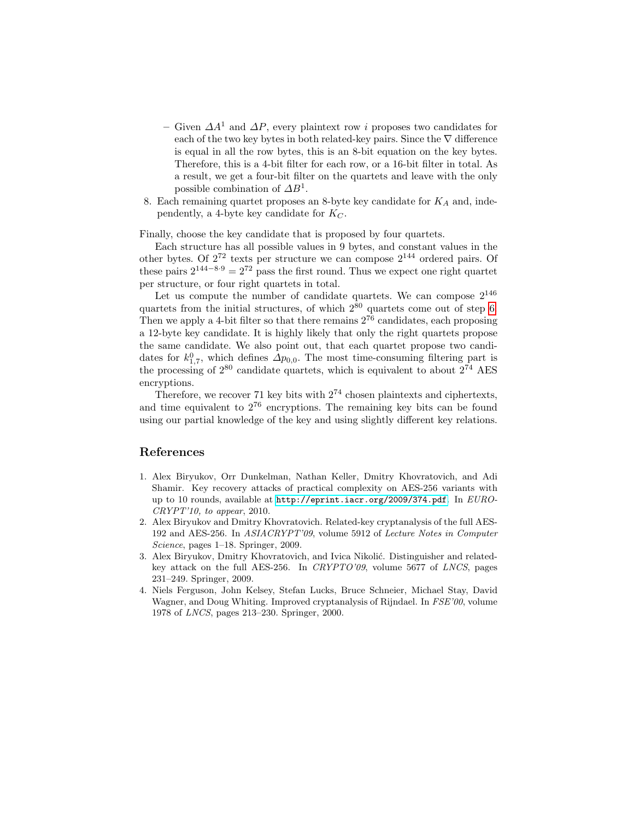- Given  $\Delta A^1$  and  $\Delta P$ , every plaintext row *i* proposes two candidates for each of the two key bytes in both related-key pairs. Since the  $\nabla$  difference is equal in all the row bytes, this is an 8-bit equation on the key bytes. Therefore, this is a 4-bit filter for each row, or a 16-bit filter in total. As a result, we get a four-bit filter on the quartets and leave with the only possible combination of  $\Delta B^1$ .
- 8. Each remaining quartet proposes an 8-byte key candidate for  $K_A$  and, independently, a 4-byte key candidate for  $K_C$ .

Finally, choose the key candidate that is proposed by four quartets.

Each structure has all possible values in 9 bytes, and constant values in the other bytes. Of  $2^{72}$  texts per structure we can compose  $2^{144}$  ordered pairs. Of these pairs  $2^{144-8.9} = 2^{72}$  pass the first round. Thus we expect one right quartet per structure, or four right quartets in total.

Let us compute the number of candidate quartets. We can compose  $2^{146}$ quartets from the initial structures, of which  $2^{80}$  quartets come out of step [6.](#page-2-0) Then we apply a 4-bit filter so that there remains  $2^{76}$  candidates, each proposing a 12-byte key candidate. It is highly likely that only the right quartets propose the same candidate. We also point out, that each quartet propose two candidates for  $k_{1,7}^0$ , which defines  $\Delta p_{0,0}$ . The most time-consuming filtering part is the processing of  $2^{80}$  candidate quartets, which is equivalent to about  $2^{74}$  AES encryptions.

Therefore, we recover 71 key bits with  $2^{74}$  chosen plaintexts and ciphertexts, and time equivalent to  $2^{76}$  encryptions. The remaining key bits can be found using our partial knowledge of the key and using slightly different key relations.

# References

- <span id="page-3-2"></span>1. Alex Biryukov, Orr Dunkelman, Nathan Keller, Dmitry Khovratovich, and Adi Shamir. Key recovery attacks of practical complexity on AES-256 variants with up to 10 rounds, available at <http://eprint.iacr.org/2009/374.pdf>. In EURO- $CRYPT'10$ , to appear, 2010.
- <span id="page-3-1"></span>2. Alex Biryukov and Dmitry Khovratovich. Related-key cryptanalysis of the full AES-192 and AES-256. In ASIACRYPT'09, volume 5912 of Lecture Notes in Computer Science, pages 1–18. Springer, 2009.
- <span id="page-3-0"></span>3. Alex Biryukov, Dmitry Khovratovich, and Ivica Nikolić. Distinguisher and relatedkey attack on the full AES-256. In CRYPTO'09, volume 5677 of LNCS, pages 231–249. Springer, 2009.
- <span id="page-3-3"></span>4. Niels Ferguson, John Kelsey, Stefan Lucks, Bruce Schneier, Michael Stay, David Wagner, and Doug Whiting. Improved cryptanalysis of Rijndael. In FSE'00, volume 1978 of LNCS, pages 213–230. Springer, 2000.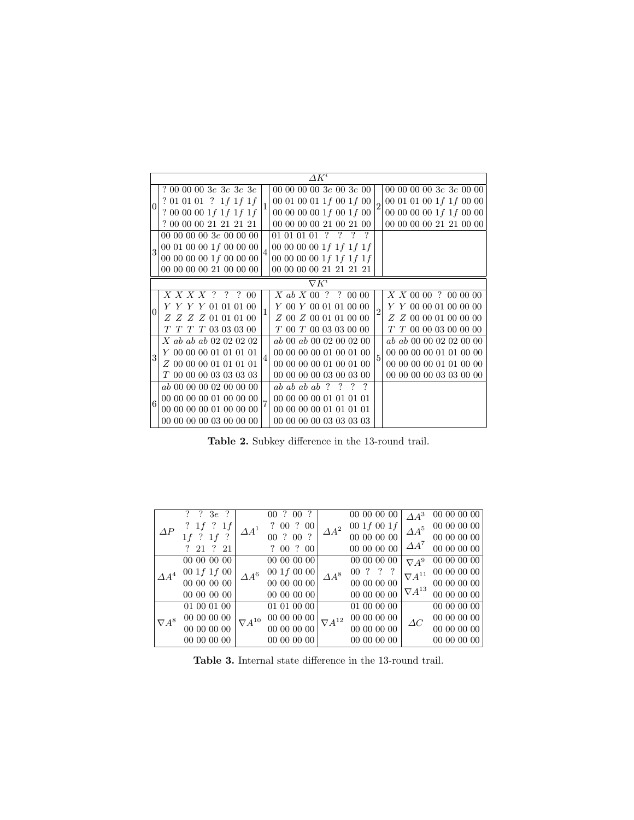|                | $\varDelta K^i$ |                                            |   |                                                                 |  |  |  |  |
|----------------|-----------------|--------------------------------------------|---|-----------------------------------------------------------------|--|--|--|--|
|                |                 | ? 00 00 00 3e 3e 3e 3e                     |   | 00 00 00 00 3 $e$ 00 3 $e$ 00<br>000000003e3e0000               |  |  |  |  |
| $\overline{0}$ |                 | ? 01 01 01 ? 1f 1f 1f                      |   | 00 01 01 00 1f 1f 00 00<br>00 01 00 01 1 $f$ 00 1 $f$ 00        |  |  |  |  |
|                |                 | ? 00 00 00 1f 1f 1f 1f                     |   | 00 00 00 00 1 $f$ 00 1 $f$ 00<br>00 00 00 00 $1f 1f 00 00$      |  |  |  |  |
|                |                 | ? 00 00 00 21 21 21 21                     |   | 00 00 00 00 21 21 00 00<br>00 00 00 00 21 00 21 00              |  |  |  |  |
|                |                 | 00 00 00 00 3 $e$ 00 00 00                 |   | $01\;01\;01\;01\;\overline{?}\;\overline{?}\;\overline{?}$<br>? |  |  |  |  |
|                | 3               | 00 01 00 00 1 $f$ 00 00 00                 | 4 | 00 00 00 00 1 f 1 f 1 f 1 f                                     |  |  |  |  |
|                |                 | 00 00 00 00 $1f$ 00 00 00                  |   | 00 00 00 00 1 f 1 f 1 f 1 f 1 f                                 |  |  |  |  |
|                |                 | 00 00 00 00 21 00 00 00                    |   | 00 00 00 00 21 21 21 21                                         |  |  |  |  |
|                | $\nabla K^i$    |                                            |   |                                                                 |  |  |  |  |
|                |                 | $X$ $X$ $X$ $Y$ $?$ $?$ $?$ 00             |   | $X$ ab $X$ 00 ? ? 00 00<br>X X 00 00 ? 00 00 00                 |  |  |  |  |
|                | $\Omega$        | Y Y Y Y 01 01 01 00                        |   | Y 00 Y 00 01 01 00 00<br>Y Y 00 00 01 00 00 00                  |  |  |  |  |
|                |                 | $Z \; Z \; Z \; Z \; 01 \; 01 \; 01 \; 00$ |   | Z 00 Z 00 01 01 00 00<br>Z Z 00 00 01 00 00 00                  |  |  |  |  |
|                |                 | $T$ $T$ $T$ $T$ 03 03 03 00                |   | $T$ 00 $T$ 00 03 03 00 00<br>T T 00 00 03 00 00 00              |  |  |  |  |
|                |                 | X ab ab ab 02 02 02 02                     |   | ab ab 00 00 02 02 00 00<br>ab 00 ab 00 02 00 02 00              |  |  |  |  |
| 3              |                 | Y 00 00 00 01 01 01 01                     |   | 00 00 00 00 01 01 00 00<br>00 00 00 00 01 00 01 00              |  |  |  |  |
|                |                 | Z 00 00 00 01 01 01 01                     |   | 00 00 00 00 01 00 01 00<br>00 00 00 00 01 01 00 00              |  |  |  |  |
|                |                 | T 00 00 00 03 03 03 03                     |   | 00 00 00 00 03 03 00 00<br>00 00 00 00 03 00 03 00              |  |  |  |  |
|                |                 | ab 00 00 00 02 00 00 00                    |   | $ab$ ab ab $ab$ ?<br>$\overline{?}$<br>$\boldsymbol{\eta}$      |  |  |  |  |
| 6              |                 | 00 00 00 00 01 00 00 00                    |   | 00 00 00 00 01 01 01 01                                         |  |  |  |  |
|                |                 | 00 00 00 00 01 00 00 00                    |   | 00 00 00 00 01 01 01 01                                         |  |  |  |  |
|                |                 | 00 00 00 00 03 00 00 00                    |   | 00 00 00 00 03 03 03 03                                         |  |  |  |  |

<span id="page-4-1"></span>Table 2. Subkey difference in the 13-round trail. <br> <br> $\;$ 

|              | ? ? $3e$ ?             | $\Delta A^1$    | 00 ? 00 ?                                     | $\Delta A^2$    | 00 00 00 00      | $\Lambda A^3$                      | 00 00 00 00 |
|--------------|------------------------|-----------------|-----------------------------------------------|-----------------|------------------|------------------------------------|-------------|
| $\Delta P$   | ? $1f$ ? $1f$          |                 | $?\begin{array}{ccc} 00 & ? & 00 \end{array}$ |                 | 00 $1f$ 00 $1f$  | $\Delta A^5$                       | 00 00 00 00 |
|              | $1f$ ? $1f$ ?          |                 | 00 ? 00 ?                                     |                 | 00 00 00 00      |                                    | 00 00 00 00 |
|              | ? 21 ? 21              |                 | ? 00 ? 00                                     |                 | 00 00 00 00      | $\Delta A^7$                       | 00 00 00 00 |
|              | 00 00 00 00            | $\Delta A^6$    | 00 00 00 00                                   | $\Delta A^8$    | 00 00 00 00      | $\nabla A^9$                       | 00 00 00 00 |
| $\Delta A^4$ | $00 \; 1f \; 1f \; 00$ |                 | 001f0000                                      |                 | 00 ? ?           | $\nabla A^{11}$<br>$\nabla A^{13}$ | 00 00 00 00 |
|              | 00 00 00 00            |                 | 00 00 00 00                                   |                 | 00 00 00 00      |                                    | 00 00 00 00 |
|              | 00 00 00 00            |                 | 00 00 00 00                                   |                 | 00 00 00 00      |                                    | 00 00 00 00 |
|              | 01 00 01 00            | $\nabla A^{10}$ | 01 01 00 00                                   | $\nabla A^{12}$ | 01 00 00 00      | $\Delta C$                         | 00 00 00 00 |
| $\nabla A^8$ | $00\ 00\ 00\ 00$       |                 | 00 00 00 00                                   |                 | 00 00 00 00      |                                    | 00 00 00 00 |
|              | $00\ 00\ 00\ 00$       |                 | $00\ 00\ 00\ 00$                              |                 | $00\ 00\ 00\ 00$ |                                    | 00 00 00 00 |
|              | 00 00 00 00            |                 | 00000000                                      |                 | 00 00 00 00      |                                    | 00 00 00 00 |

<span id="page-4-0"></span>Table 3. Internal state difference in the 13-round trail. <br> <br> $\;$